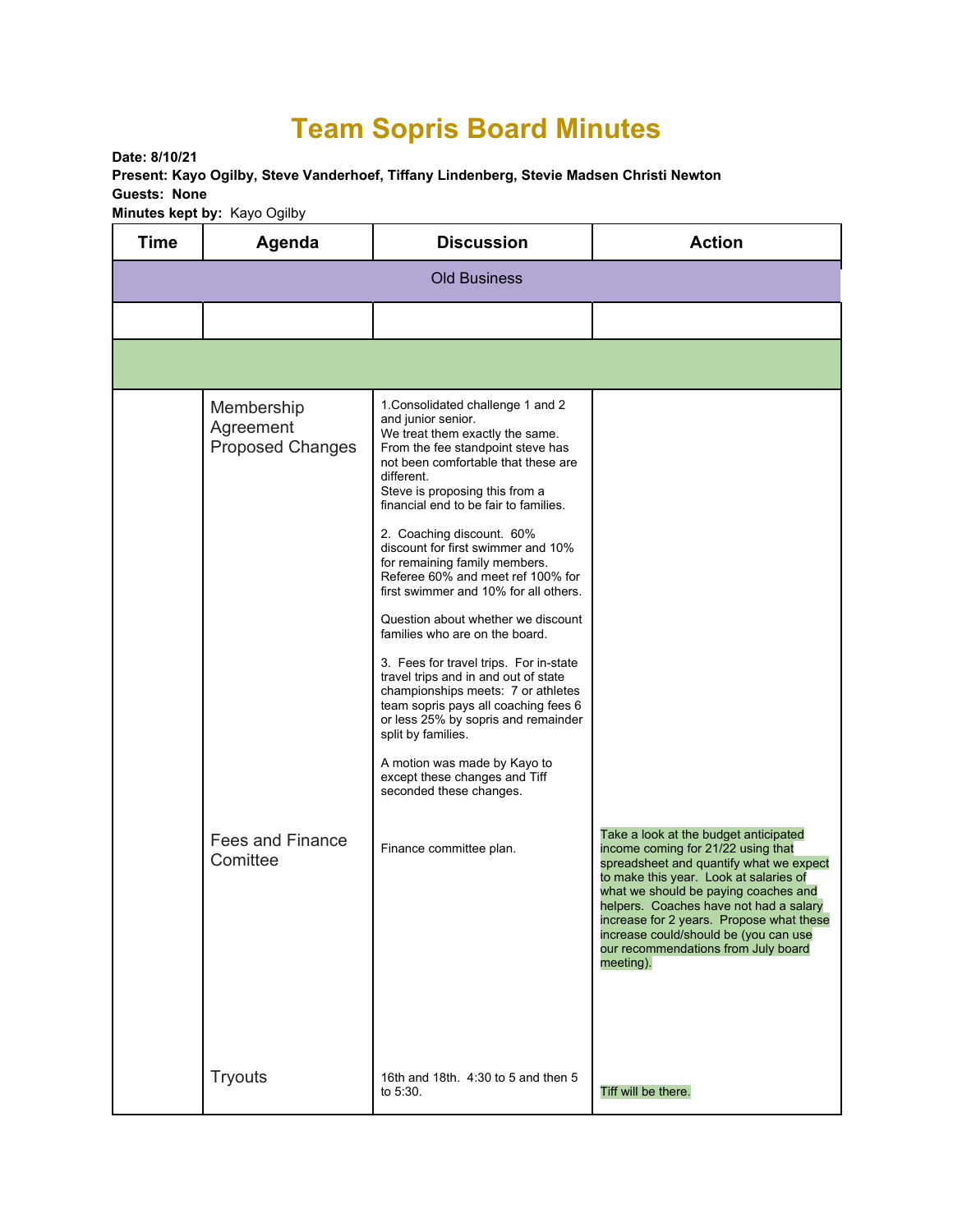## **Team Sopris Board Minutes**

**Date: 8/10/21 Present: Kayo Ogilby, Steve Vanderhoef, Tiffany Lindenberg, Stevie Madsen Christi Newton Guests: None Minutes kept by:** Kayo Ogilby

| <b>Time</b>         | Agenda                                                                 | <b>Discussion</b>                                                                                                                                                                                                                                                                                                                                                                                                                                                                                                                                                                                                                                                                                                                                                                                                                                  | <b>Action</b>                                                                                                                                                                                                                                                                                                                                      |  |  |
|---------------------|------------------------------------------------------------------------|----------------------------------------------------------------------------------------------------------------------------------------------------------------------------------------------------------------------------------------------------------------------------------------------------------------------------------------------------------------------------------------------------------------------------------------------------------------------------------------------------------------------------------------------------------------------------------------------------------------------------------------------------------------------------------------------------------------------------------------------------------------------------------------------------------------------------------------------------|----------------------------------------------------------------------------------------------------------------------------------------------------------------------------------------------------------------------------------------------------------------------------------------------------------------------------------------------------|--|--|
| <b>Old Business</b> |                                                                        |                                                                                                                                                                                                                                                                                                                                                                                                                                                                                                                                                                                                                                                                                                                                                                                                                                                    |                                                                                                                                                                                                                                                                                                                                                    |  |  |
|                     |                                                                        |                                                                                                                                                                                                                                                                                                                                                                                                                                                                                                                                                                                                                                                                                                                                                                                                                                                    |                                                                                                                                                                                                                                                                                                                                                    |  |  |
|                     |                                                                        |                                                                                                                                                                                                                                                                                                                                                                                                                                                                                                                                                                                                                                                                                                                                                                                                                                                    |                                                                                                                                                                                                                                                                                                                                                    |  |  |
|                     | Membership<br>Agreement<br><b>Proposed Changes</b><br>Fees and Finance | 1. Consolidated challenge 1 and 2<br>and junior senior.<br>We treat them exactly the same.<br>From the fee standpoint steve has<br>not been comfortable that these are<br>different.<br>Steve is proposing this from a<br>financial end to be fair to families.<br>2. Coaching discount. 60%<br>discount for first swimmer and 10%<br>for remaining family members.<br>Referee 60% and meet ref 100% for<br>first swimmer and 10% for all others.<br>Question about whether we discount<br>families who are on the board.<br>3. Fees for travel trips. For in-state<br>travel trips and in and out of state<br>championships meets: 7 or athletes<br>team sopris pays all coaching fees 6<br>or less 25% by sopris and remainder<br>split by families.<br>A motion was made by Kayo to<br>except these changes and Tiff<br>seconded these changes. | Take a look at the budget anticipated                                                                                                                                                                                                                                                                                                              |  |  |
|                     | Comittee                                                               | Finance committee plan.                                                                                                                                                                                                                                                                                                                                                                                                                                                                                                                                                                                                                                                                                                                                                                                                                            | income coming for 21/22 using that<br>spreadsheet and quantify what we expect<br>to make this year. Look at salaries of<br>what we should be paying coaches and<br>helpers. Coaches have not had a salary<br>increase for 2 years. Propose what these<br>increase could/should be (you can use<br>our recommendations from July board<br>meeting). |  |  |
|                     | <b>Tryouts</b>                                                         | 16th and 18th. 4:30 to 5 and then 5<br>to 5:30.                                                                                                                                                                                                                                                                                                                                                                                                                                                                                                                                                                                                                                                                                                                                                                                                    | Tiff will be there.                                                                                                                                                                                                                                                                                                                                |  |  |